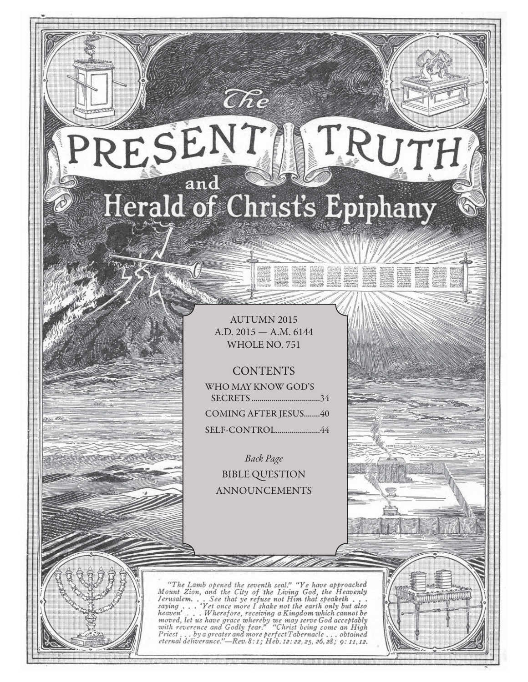## RESENT TRUTH and Herald of Christ's Epiphany

 $\widehat{C}\hspace{-0.6mm}\mathit{\widehat{R}} e$ 

AUTUMN 2015 A.D. 2015 — A.M. 6144 WHOLE NO. 751

**CONTENTS** 

WHO MAY KNOW GOD'S SECRETS ..................................34 COMING AFTER JESUS........40 SELF-CONTROL ......................44

Back Page BIBLE QUESTION ANNOUNCEMENTS

"The Lamb opened the seventh seal," "Ye have approached<br>Mount Zion, and the City of the Living God, the Heavenly<br>Jerusalem... See that ye refuse not Him that speaketh...<br>saying ... 'Yet once more I shake not the earth onl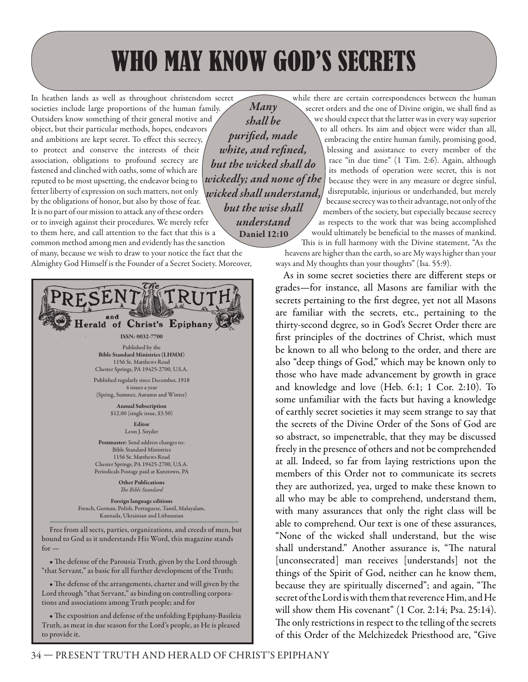## WHO MAY KNOW GOD'S SECRETS

*Many* 

In heathen lands as well as throughout christendom secret societies include large proportions of the human family. Outsiders know something of their general motive and object, but their particular methods, hopes, endeavors and ambitions are kept secret. To effect this secrecy, to protect and conserve the interests of their association, obligations to profound secrecy are fastened and clinched with oaths, some of which are reputed to be most upsetting, the endeavor being to fetter liberty of expression on such matters, not only by the obligations of honor, but also by those of fear. It is no part of our mission to attack any of these orders or to inveigh against their procedures. We merely refer

*shall be*  purified, made *white, and refined, but the wicked shall do wickedly; and none of the wicked shall understand, but the wise shall understand* **Daniel 12:10**

to them here, and call attention to the fact that this is a common method among men and evidently has the sanction of many, because we wish to draw to your notice the fact that the Almighty God Himself is the Founder of a Secret Society. Moreover,



• The defense of the arrangements, charter and will given by the Lord through "that Servant," as binding on controlling corporations and associations among Truth people; and for

• The exposition and defense of the unfolding Epiphany-Basileia Truth, as meat in due season for the Lord's people, as He is pleased to provide it.

while there are certain correspondences between the human secret orders and the one of Divine origin, we shall find as

we should expect that the latter was in every way superior to all others. Its aim and object were wider than all, embracing the entire human family, promising good, blessing and assistance to every member of the race "in due time" (1 Tim. 2:6). Again, although its methods of operation were secret, this is not because they were in any measure or degree sinful, disreputable, injurious or underhanded, but merely because secrecy was to their advantage, not only of the members of the society, but especially because secrecy as respects to the work that was being accomplished would ultimately be beneficial to the masses of mankind. This is in full harmony with the Divine statement, "As the

heavens are higher than the earth, so are My ways higher than your ways and My thoughts than your thoughts" (Isa. 55:9).

As in some secret societies there are different steps or grades—for instance, all Masons are familiar with the secrets pertaining to the first degree, yet not all Masons are familiar with the secrets, etc., pertaining to the thirty-second degree, so in God's Secret Order there are first principles of the doctrines of Christ, which must be known to all who belong to the order, and there are also "deep things of God," which may be known only to those who have made advancement by growth in grace and knowledge and love (Heb. 6:1; 1 Cor. 2:10). To some unfamiliar with the facts but having a knowledge of earthly secret societies it may seem strange to say that the secrets of the Divine Order of the Sons of God are so abstract, so impenetrable, that they may be discussed freely in the presence of others and not be comprehended at all. Indeed, so far from laying restrictions upon the members of this Order not to communicate its secrets they are authorized, yea, urged to make these known to all who may be able to comprehend, understand them, with many assurances that only the right class will be able to comprehend. Our text is one of these assurances, "None of the wicked shall understand, but the wise shall understand." Another assurance is, "The natural [unconsecrated] man receives [understands] not the things of the Spirit of God, neither can he know them, because they are spiritually discerned"; and again, "The secret of the Lord is with them that reverence Him, and He will show them His covenant" (1 Cor. 2:14; Psa. 25:14). The only restrictions in respect to the telling of the secrets of this Order of the Melchizedek Priesthood are, "Give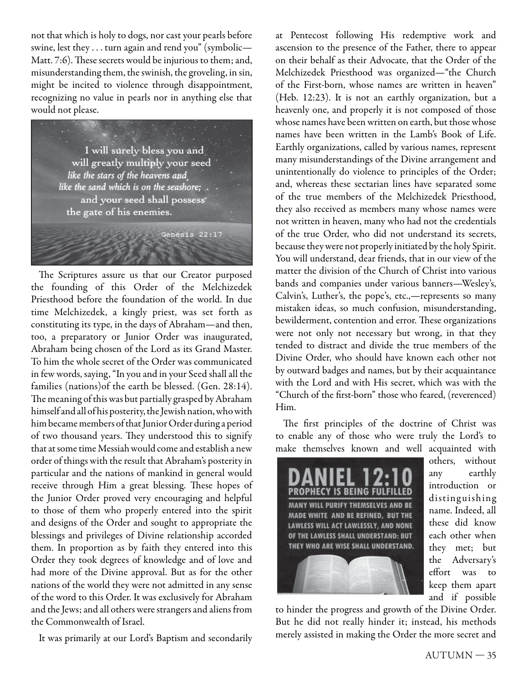not that which is holy to dogs, nor cast your pearls before swine, lest they . . . turn again and rend you" (symbolic— Matt. 7:6). These secrets would be injurious to them; and, misunderstanding them, the swinish, the groveling, in sin, might be incited to violence through disappointment, recognizing no value in pearls nor in anything else that would not please.



The Scriptures assure us that our Creator purposed the founding of this Order of the Melchizedek Priesthood before the foundation of the world. In due time Melchizedek, a kingly priest, was set forth as constituting its type, in the days of Abraham—and then, too, a preparatory or Junior Order was inaugurated, Abraham being chosen of the Lord as its Grand Master. To him the whole secret of the Order was communicated in few words, saying, "In you and in your Seed shall all the families (nations)of the earth be blessed. (Gen. 28:14). The meaning of this was but partially grasped by Abraham himself and all of his posterity, the Jewish nation, who with him became members of that Junior Order during a period of two thousand years. They understood this to signify that at some time Messiah would come and establish a new order of things with the result that Abraham's posterity in particular and the nations of mankind in general would receive through Him a great blessing. These hopes of the Junior Order proved very encouraging and helpful to those of them who properly entered into the spirit and designs of the Order and sought to appropriate the blessings and privileges of Divine relationship accorded them. In proportion as by faith they entered into this Order they took degrees of knowledge and of love and had more of the Divine approval. But as for the other nations of the world they were not admitted in any sense of the word to this Order. It was exclusively for Abraham and the Jews; and all others were strangers and aliens from the Commonwealth of Israel.

It was primarily at our Lord's Baptism and secondarily

at Pentecost following His redemptive work and ascension to the presence of the Father, there to appear on their behalf as their Advocate, that the Order of the Melchizedek Priesthood was organized—"the Church of the First-born, whose names are written in heaven" (Heb. 12:23). It is not an earthly organization, but a heavenly one, and properly it is not composed of those whose names have been written on earth, but those whose names have been written in the Lamb's Book of Life. Earthly organizations, called by various names, represent many misunderstandings of the Divine arrangement and unintentionally do violence to principles of the Order; and, whereas these sectarian lines have separated some of the true members of the Melchizedek Priesthood, they also received as members many whose names were not written in heaven, many who had not the credentials of the true Order, who did not understand its secrets, because they were not properly initiated by the holy Spirit. You will understand, dear friends, that in our view of the matter the division of the Church of Christ into various bands and companies under various banners—Wesley's, Calvin's, Luther's, the pope's, etc.,—represents so many mistaken ideas, so much confusion, misunderstanding, bewilderment, contention and error. These organizations were not only not necessary but wrong, in that they tended to distract and divide the true members of the Divine Order, who should have known each other not by outward badges and names, but by their acquaintance with the Lord and with His secret, which was with the "Church of the first-born" those who feared, (reverenced) Him.

The first principles of the doctrine of Christ was to enable any of those who were truly the Lord's to make themselves known and well acquainted with



others, without any earthly introduction or distinguishing name. Indeed, all these did know each other when they met; but the Adversary's effort was to keep them apart and if possible

to hinder the progress and growth of the Divine Order. But he did not really hinder it; instead, his methods merely assisted in making the Order the more secret and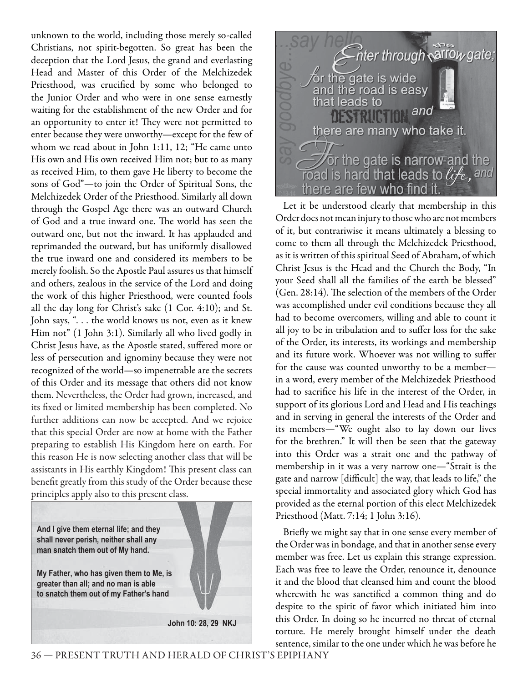unknown to the world, including those merely so-called Christians, not spirit-begotten. So great has been the deception that the Lord Jesus, the grand and everlasting Head and Master of this Order of the Melchizedek Priesthood, was crucified by some who belonged to the Junior Order and who were in one sense earnestly waiting for the establishment of the new Order and for an opportunity to enter it! They were not permitted to enter because they were unworthy—except for the few of whom we read about in John 1:11, 12; "He came unto His own and His own received Him not; but to as many as received Him, to them gave He liberty to become the sons of God"—to join the Order of Spiritual Sons, the Melchizedek Order of the Priesthood. Similarly all down through the Gospel Age there was an outward Church of God and a true inward one. The world has seen the outward one, but not the inward. It has applauded and reprimanded the outward, but has uniformly disallowed the true inward one and considered its members to be merely foolish. So the Apostle Paul assures us that himself and others, zealous in the service of the Lord and doing the work of this higher Priesthood, were counted fools all the day long for Christ's sake (1 Cor. 4:10); and St. John says, ". . . the world knows us not, even as it knew Him not" (1 John 3:1). Similarly all who lived godly in Christ Jesus have, as the Apostle stated, suffered more or less of persecution and ignominy because they were not recognized of the world—so impenetrable are the secrets of this Order and its message that others did not know them. Nevertheless, the Order had grown, increased, and its fixed or limited membership has been completed. No further additions can now be accepted. And we rejoice that this special Order are now at home with the Father preparing to establish His Kingdom here on earth. For this reason He is now selecting another class that will be assistants in His earthly Kingdom! This present class can benefit greatly from this study of the Order because these principles apply also to this present class.





Let it be understood clearly that membership in this Order does not mean injury to those who are not members of it, but contrariwise it means ultimately a blessing to come to them all through the Melchizedek Priesthood, as it is written of this spiritual Seed of Abraham, of which Christ Jesus is the Head and the Church the Body, "In your Seed shall all the families of the earth be blessed" (Gen. 28:14). The selection of the members of the Order was accomplished under evil conditions because they all had to become overcomers, willing and able to count it all joy to be in tribulation and to suffer loss for the sake of the Order, its interests, its workings and membership and its future work. Whoever was not willing to suffer for the cause was counted unworthy to be a member in a word, every member of the Melchizedek Priesthood had to sacrifice his life in the interest of the Order, in support of its glorious Lord and Head and His teachings and in serving in general the interests of the Order and its members—"We ought also to lay down our lives for the brethren." It will then be seen that the gateway into this Order was a strait one and the pathway of membership in it was a very narrow one—"Strait is the gate and narrow [difficult] the way, that leads to life," the special immortality and associated glory which God has provided as the eternal portion of this elect Melchizedek Priesthood (Matt. 7:14; 1 John 3:16).

Briefly we might say that in one sense every member of the Order was in bondage, and that in another sense every member was free. Let us explain this strange expression. Each was free to leave the Order, renounce it, denounce it and the blood that cleansed him and count the blood wherewith he was sanctified a common thing and do despite to the spirit of favor which initiated him into this Order. In doing so he incurred no threat of eternal torture. He merely brought himself under the death sentence, similar to the one under which he was before he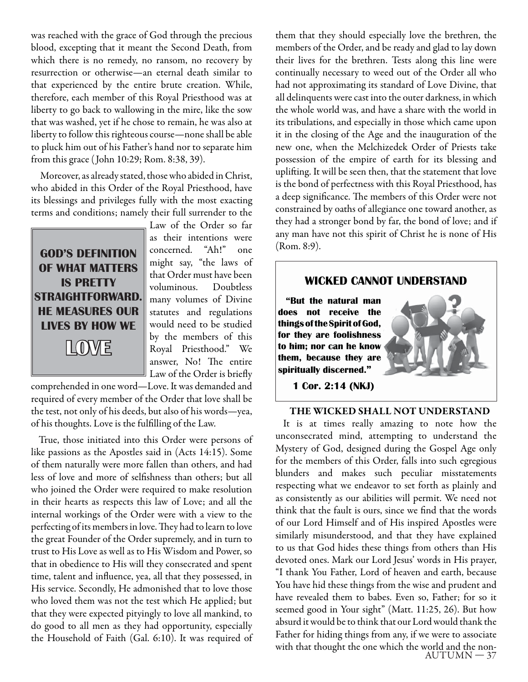was reached with the grace of God through the precious blood, excepting that it meant the Second Death, from which there is no remedy, no ransom, no recovery by resurrection or otherwise—an eternal death similar to that experienced by the entire brute creation. While, therefore, each member of this Royal Priesthood was at liberty to go back to wallowing in the mire, like the sow that was washed, yet if he chose to remain, he was also at liberty to follow this righteous course—none shall be able to pluck him out of his Father's hand nor to separate him from this grace ( John 10:29; Rom. 8:38, 39).

 Moreover, as already stated, those who abided in Christ, who abided in this Order of the Royal Priesthood, have its blessings and privileges fully with the most exacting terms and conditions; namely their full surrender to the



Law of the Order so far as their intentions were concerned. "Ah!" one might say, "the laws of that Order must have been voluminous. Doubtless many volumes of Divine statutes and regulations would need to be studied by the members of this Royal Priesthood." We answer, No! The entire Law of the Order is briefly

comprehended in one word—Love. It was demanded and required of every member of the Order that love shall be the test, not only of his deeds, but also of his words—yea, of his thoughts. Love is the fulfilling of the Law.

True, those initiated into this Order were persons of like passions as the Apostles said in (Acts 14:15). Some of them naturally were more fallen than others, and had less of love and more of selfishness than others; but all who joined the Order were required to make resolution in their hearts as respects this law of Love; and all the internal workings of the Order were with a view to the perfecting of its members in love. They had to learn to love the great Founder of the Order supremely, and in turn to trust to His Love as well as to His Wisdom and Power, so that in obedience to His will they consecrated and spent time, talent and influence, yea, all that they possessed, in His service. Secondly, He admonished that to love those who loved them was not the test which He applied; but that they were expected pityingly to love all mankind, to do good to all men as they had opportunity, especially the Household of Faith (Gal. 6:10). It was required of

them that they should especially love the brethren, the members of the Order, and be ready and glad to lay down their lives for the brethren. Tests along this line were continually necessary to weed out of the Order all who had not approximating its standard of Love Divine, that all delinquents were cast into the outer darkness, in which the whole world was, and have a share with the world in its tribulations, and especially in those which came upon it in the closing of the Age and the inauguration of the new one, when the Melchizedek Order of Priests take possession of the empire of earth for its blessing and uplifting. It will be seen then, that the statement that love is the bond of perfectness with this Royal Priesthood, has a deep significance. The members of this Order were not constrained by oaths of allegiance one toward another, as they had a stronger bond by far, the bond of love; and if any man have not this spirit of Christ he is none of His (Rom. 8:9).

#### **WICKED CANNOT UNDERSTAND**

**"But the natural man does not receive the things of the Spirit of God, for they are foolishness to him; nor can he know them, because they are spiritually discerned."**

**1 Cor. 2:14 (NKJ)**

#### **THE WICKED SHALL NOT UNDERSTAND**

 $AUTUMN-37$ It is at times really amazing to note how the unconsecrated mind, attempting to understand the Mystery of God, designed during the Gospel Age only for the members of this Order, falls into such egregious blunders and makes such peculiar misstatements respecting what we endeavor to set forth as plainly and as consistently as our abilities will permit. We need not think that the fault is ours, since we find that the words of our Lord Himself and of His inspired Apostles were similarly misunderstood, and that they have explained to us that God hides these things from others than His devoted ones. Mark our Lord Jesus' words in His prayer, "I thank You Father, Lord of heaven and earth, because You have hid these things from the wise and prudent and have revealed them to babes. Even so, Father; for so it seemed good in Your sight" (Matt. 11:25, 26). But how absurd it would be to think that our Lord would thank the Father for hiding things from any, if we were to associate with that thought the one which the world and the non-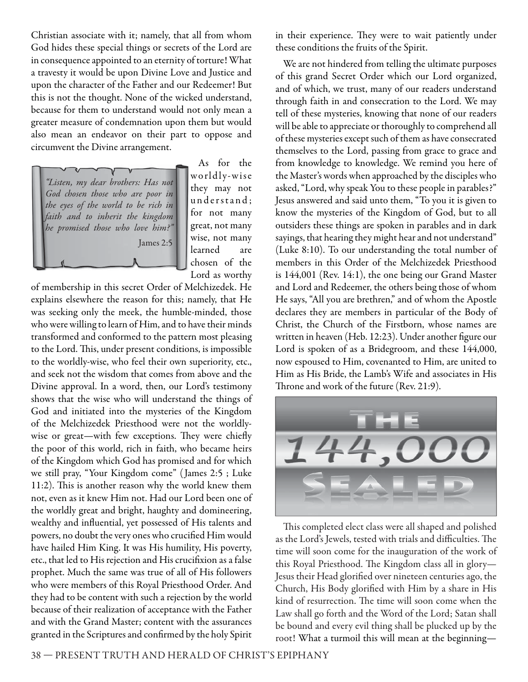Christian associate with it; namely, that all from whom God hides these special things or secrets of the Lord are in consequence appointed to an eternity of torture! What a travesty it would be upon Divine Love and Justice and upon the character of the Father and our Redeemer! But this is not the thought. None of the wicked understand, because for them to understand would not only mean a greater measure of condemnation upon them but would also mean an endeavor on their part to oppose and circumvent the Divine arrangement.

James 2:5

"Listen, my dear brothers: Has not God chosen those who are poor in the eyes of the world to be rich in faith and to inherit the kingdom he promised those who love him?"

As for the worldly-wise they may not understand: for not many great, not many wise, not many learned are chosen of the Lord as worthy

of membership in this secret Order of Melchizedek. He explains elsewhere the reason for this; namely, that He was seeking only the meek, the humble-minded, those who were willing to learn of Him, and to have their minds transformed and conformed to the pattern most pleasing to the Lord. This, under present conditions, is impossible to the worldly-wise, who feel their own superiority, etc., and seek not the wisdom that comes from above and the Divine approval. In a word, then, our Lord's testimony shows that the wise who will understand the things of God and initiated into the mysteries of the Kingdom of the Melchizedek Priesthood were not the worldlywise or great—with few exceptions. They were chiefly the poor of this world, rich in faith, who became heirs of the Kingdom which God has promised and for which we still pray, "Your Kingdom come" ( James 2:5 ; Luke 11:2). This is another reason why the world knew them not, even as it knew Him not. Had our Lord been one of the worldly great and bright, haughty and domineering, wealthy and influential, yet possessed of His talents and powers, no doubt the very ones who crucified Him would have hailed Him King. It was His humility, His poverty, etc., that led to His rejection and His crucifixion as a false prophet. Much the same was true of all of His followers who were members of this Royal Priesthood Order. And they had to be content with such a rejection by the world because of their realization of acceptance with the Father and with the Grand Master; content with the assurances granted in the Scriptures and confirmed by the holy Spirit in their experience. They were to wait patiently under these conditions the fruits of the Spirit.

We are not hindered from telling the ultimate purposes of this grand Secret Order which our Lord organized, and of which, we trust, many of our readers understand through faith in and consecration to the Lord. We may tell of these mysteries, knowing that none of our readers will be able to appreciate or thoroughly to comprehend all of these mysteries except such of them as have consecrated themselves to the Lord, passing from grace to grace and from knowledge to knowledge. We remind you here of the Master's words when approached by the disciples who asked, "Lord, why speak You to these people in parables?" Jesus answered and said unto them, "To you it is given to know the mysteries of the Kingdom of God, but to all outsiders these things are spoken in parables and in dark sayings, that hearing they might hear and not understand" (Luke 8:10). To our understanding the total number of members in this Order of the Melchizedek Priesthood is 144,001 (Rev. 14:1), the one being our Grand Master and Lord and Redeemer, the others being those of whom He says, "All you are brethren," and of whom the Apostle declares they are members in particular of the Body of Christ, the Church of the Firstborn, whose names are written in heaven (Heb. 12:23). Under another figure our Lord is spoken of as a Bridegroom, and these 144,000, now espoused to Him, covenanted to Him, are united to Him as His Bride, the Lamb's Wife and associates in His Throne and work of the future (Rev. 21:9).



This completed elect class were all shaped and polished as the Lord's Jewels, tested with trials and difficulties. The time will soon come for the inauguration of the work of this Royal Priesthood. The Kingdom class all in glory-Jesus their Head glorified over nineteen centuries ago, the Church, His Body glorified with Him by a share in His kind of resurrection. The time will soon come when the Law shall go forth and the Word of the Lord; Satan shall be bound and every evil thing shall be plucked up by the root! What a turmoil this will mean at the beginning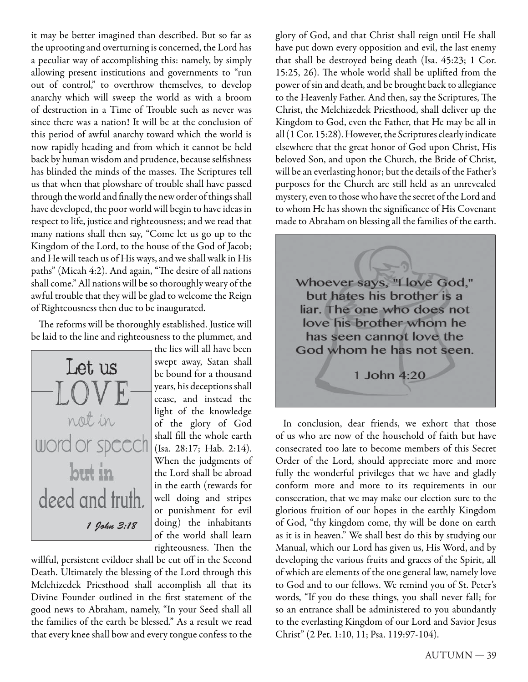it may be better imagined than described. But so far as the uprooting and overturning is concerned, the Lord has a peculiar way of accomplishing this: namely, by simply allowing present institutions and governments to "run out of control," to overthrow themselves, to develop anarchy which will sweep the world as with a broom of destruction in a Time of Trouble such as never was since there was a nation! It will be at the conclusion of this period of awful anarchy toward which the world is now rapidly heading and from which it cannot be held back by human wisdom and prudence, because selfishness has blinded the minds of the masses. The Scriptures tell us that when that plowshare of trouble shall have passed through the world and finally the new order of things shall have developed, the poor world will begin to have ideas in respect to life, justice and righteousness; and we read that many nations shall then say, "Come let us go up to the Kingdom of the Lord, to the house of the God of Jacob; and He will teach us of His ways, and we shall walk in His paths" (Micah 4:2). And again, "The desire of all nations shall come." All nations will be so thoroughly weary of the awful trouble that they will be glad to welcome the Reign of Righteousness then due to be inaugurated.

The reforms will be thoroughly established. Justice will be laid to the line and righteousness to the plummet, and



the lies will all have been swept away, Satan shall be bound for a thousand years, his deceptions shall cease, and instead the light of the knowledge of the glory of God shall fill the whole earth (Isa. 28:17; Hab. 2:14). When the judgments of the Lord shall be abroad in the earth (rewards for well doing and stripes or punishment for evil doing) the inhabitants of the world shall learn righteousness. Then the

willful, persistent evildoer shall be cut off in the Second Death. Ultimately the blessing of the Lord through this Melchizedek Priesthood shall accomplish all that its Divine Founder outlined in the first statement of the good news to Abraham, namely, "In your Seed shall all the families of the earth be blessed." As a result we read that every knee shall bow and every tongue confess to the

glory of God, and that Christ shall reign until He shall have put down every opposition and evil, the last enemy that shall be destroyed being death (Isa. 45:23; 1 Cor. 15:25, 26). The whole world shall be uplifted from the power of sin and death, and be brought back to allegiance to the Heavenly Father. And then, say the Scriptures, The Christ, the Melchizedek Priesthood, shall deliver up the Kingdom to God, even the Father, that He may be all in all (1 Cor. 15:28). However, the Scriptures clearly indicate elsewhere that the great honor of God upon Christ, His beloved Son, and upon the Church, the Bride of Christ, will be an everlasting honor; but the details of the Father's purposes for the Church are still held as an unrevealed mystery, even to those who have the secret of the Lord and to whom He has shown the significance of His Covenant made to Abraham on blessing all the families of the earth.



In conclusion, dear friends, we exhort that those of us who are now of the household of faith but have consecrated too late to become members of this Secret Order of the Lord, should appreciate more and more fully the wonderful privileges that we have and gladly conform more and more to its requirements in our consecration, that we may make our election sure to the glorious fruition of our hopes in the earthly Kingdom of God, "thy kingdom come, thy will be done on earth as it is in heaven." We shall best do this by studying our Manual, which our Lord has given us, His Word, and by developing the various fruits and graces of the Spirit, all of which are elements of the one general law, namely love to God and to our fellows. We remind you of St. Peter's words, "If you do these things, you shall never fall; for so an entrance shall be administered to you abundantly to the everlasting Kingdom of our Lord and Savior Jesus Christ" (2 Pet. 1:10, 11; Psa. 119:97-104).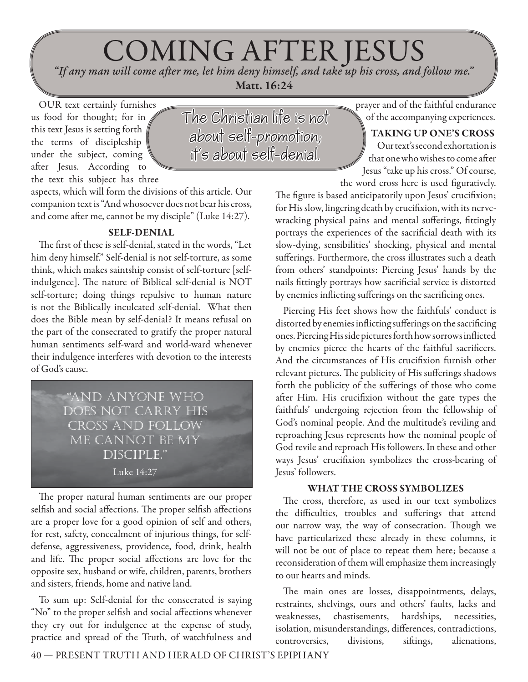# COMING AFTER JESUS *"If any man will come aft er me, let him deny himself, and take up his cross, and follow me."*

 **Matt. 16:24**

OUR text certainly furnishes us food for thought; for in this text Jesus is setting forth the terms of discipleship under the subject, coming after Jesus. According to the text this subject has three

The Christian life is not about self-promotion; it's about self-denial.

aspects, which will form the divisions of this article. Our companion text is "And whosoever does not bear his cross, and come after me, cannot be my disciple" (Luke 14:27).

#### **SELF-DENIAL**

The first of these is self-denial, stated in the words, "Let him deny himself." Self-denial is not self-torture, as some think, which makes saintship consist of self-torture [selfindulgence]. The nature of Biblical self-denial is NOT self-torture; doing things repulsive to human nature is not the Biblically inculcated self-denial. What then does the Bible mean by self-denial? It means refusal on the part of the consecrated to gratify the proper natural human sentiments self-ward and world-ward whenever their indulgence interferes with devotion to the interests of God's cause.



The proper natural human sentiments are our proper selfish and social affections. The proper selfish affections are a proper love for a good opinion of self and others, for rest, safety, concealment of injurious things, for selfdefense, aggressiveness, providence, food, drink, health and life. The proper social affections are love for the opposite sex, husband or wife, children, parents, brothers and sisters, friends, home and native land.

To sum up: Self-denial for the consecrated is saying "No" to the proper selfish and social affections whenever they cry out for indulgence at the expense of study, practice and spread of the Truth, of watchfulness and prayer and of the faithful endurance of the accompanying experiences.

**TAKING UP ONE'S CROSS**

Our text's second exhortation is that one who wishes to come after Jesus "take up his cross." Of course, the word cross here is used figuratively.

The figure is based anticipatorily upon Jesus' crucifixion; for His slow, lingering death by crucifixion, with its nervewracking physical pains and mental sufferings, fittingly portrays the experiences of the sacrificial death with its slow-dying, sensibilities' shocking, physical and mental sufferings. Furthermore, the cross illustrates such a death from others' standpoints: Piercing Jesus' hands by the nails fittingly portrays how sacrificial service is distorted by enemies inflicting sufferings on the sacrificing ones.

Piercing His feet shows how the faithfuls' conduct is distorted by enemies inflicting sufferings on the sacrificing ones. Piercing His side pictures forth how sorrows inflicted by enemies pierce the hearts of the faithful sacrificers. And the circumstances of His crucifixion furnish other relevant pictures. The publicity of His sufferings shadows forth the publicity of the sufferings of those who come after Him. His crucifixion without the gate types the faithfuls' undergoing rejection from the fellowship of God's nominal people. And the multitude's reviling and reproaching Jesus represents how the nominal people of God revile and reproach His followers. In these and other ways Jesus' crucifixion symbolizes the cross-bearing of Jesus' followers.

#### **WHAT THE CROSS SYMBOLIZES**

The cross, therefore, as used in our text symbolizes the difficulties, troubles and sufferings that attend our narrow way, the way of consecration. Though we have particularized these already in these columns, it will not be out of place to repeat them here; because a reconsideration of them will emphasize them increasingly to our hearts and minds.

The main ones are losses, disappointments, delays, restraints, shelvings, ours and others' faults, lacks and weaknesses, chastisements, hardships, necessities, isolation, misunderstandings, differences, contradictions, controversies, divisions, siftings, alienations,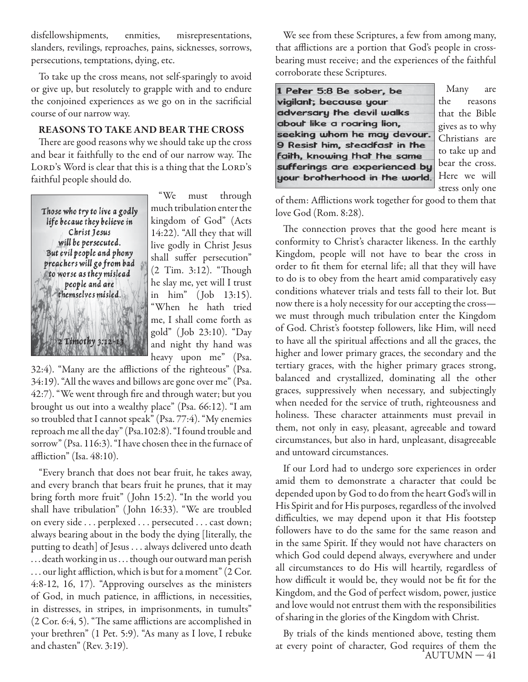disfellowshipments, enmities, misrepresentations, slanders, revilings, reproaches, pains, sicknesses, sorrows, persecutions, temptations, dying, etc.

To take up the cross means, not self-sparingly to avoid or give up, but resolutely to grapple with and to endure the conjoined experiences as we go on in the sacrificial course of our narrow way.

#### **REASONS TO TAKE AND BEAR THE CROSS**

There are good reasons why we should take up the cross and bear it faithfully to the end of our narrow way. The LORD'S Word is clear that this is a thing that the LORD'S faithful people should do.



"We must through much tribulation enter the kingdom of God" (Acts 14:22). "All they that will live godly in Christ Jesus shall suffer persecution" (2 Tim. 3:12). "Though he slay me, yet will I trust in him" ( Job 13:15). "When he hath tried me, I shall come forth as gold" ( Job 23:10). "Day and night thy hand was heavy upon me" (Psa.

32:4). "Many are the afflictions of the righteous" (Psa. 34:19). "All the waves and billows are gone over me" (Psa. 42:7). "We went through fire and through water; but you brought us out into a wealthy place" (Psa. 66:12). "I am so troubled that I cannot speak" (Psa. 77:4). "My enemies reproach me all the day" (Psa.102:8). "I found trouble and sorrow" (Psa. 116:3). "I have chosen thee in the furnace of affliction" (Isa. 48:10).

"Every branch that does not bear fruit, he takes away, and every branch that bears fruit he prunes, that it may bring forth more fruit" ( John 15:2). "In the world you shall have tribulation" ( John 16:33). "We are troubled on every side . . . perplexed . . . persecuted . . . cast down; always bearing about in the body the dying [literally, the putting to death] of Jesus . . . always delivered unto death . . . death working in us . . . though our outward man perish ... our light affliction, which is but for a moment" (2 Cor. 4:8-12, 16, 17). "Approving ourselves as the ministers of God, in much patience, in afflictions, in necessities, in distresses, in stripes, in imprisonments, in tumults"  $(2 Cor. 6:4, 5)$ . "The same afflictions are accomplished in your brethren" (1 Pet. 5:9). "As many as I love, I rebuke and chasten" (Rev. 3:19).

We see from these Scriptures, a few from among many, that afflictions are a portion that God's people in crossbearing must receive; and the experiences of the faithful corroborate these Scriptures.

1 Peter 5:8 Be sober, be vigilant; because your adversary the devil walks about like a roaring lion, seeking whom he may devour. 9 Resist him, steadfast in the faith, knowing that the same sufferings are experienced by your brotherhood in the world.

Many are the reasons that the Bible gives as to why Christians are to take up and bear the cross. Here we will stress only one

of them: Afflictions work together for good to them that love God (Rom. 8:28).

The connection proves that the good here meant is conformity to Christ's character likeness. In the earthly Kingdom, people will not have to bear the cross in order to fit them for eternal life; all that they will have to do is to obey from the heart amid comparatively easy conditions whatever trials and tests fall to their lot. But now there is a holy necessity for our accepting the cross we must through much tribulation enter the Kingdom of God. Christ's footstep followers, like Him, will need to have all the spiritual affections and all the graces, the higher and lower primary graces, the secondary and the tertiary graces, with the higher primary graces strong, balanced and crystallized, dominating all the other graces, suppressively when necessary, and subjectingly when needed for the service of truth, righteousness and holiness. These character attainments must prevail in them, not only in easy, pleasant, agreeable and toward circumstances, but also in hard, unpleasant, disagreeable and untoward circumstances.

If our Lord had to undergo sore experiences in order amid them to demonstrate a character that could be depended upon by God to do from the heart God's will in His Spirit and for His purposes, regardless of the involved difficulties, we may depend upon it that His footstep followers have to do the same for the same reason and in the same Spirit. If they would not have characters on which God could depend always, everywhere and under all circumstances to do His will heartily, regardless of how difficult it would be, they would not be fit for the Kingdom, and the God of perfect wisdom, power, justice and love would not entrust them with the responsibilities of sharing in the glories of the Kingdom with Christ.

 $AUTUMN-41$ By trials of the kinds mentioned above, testing them at every point of character, God requires of them the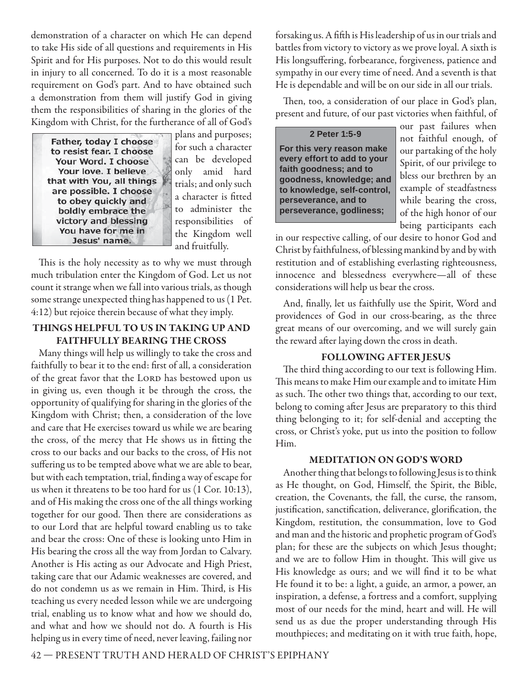demonstration of a character on which He can depend to take His side of all questions and requirements in His Spirit and for His purposes. Not to do this would result in injury to all concerned. To do it is a most reasonable requirement on God's part. And to have obtained such a demonstration from them will justify God in giving them the responsibilities of sharing in the glories of the Kingdom with Christ, for the furtherance of all of God's

Father, today I choose to resist fear. I choose Your Word. I choose Your love. I believe that with You, all things are possible. I choose to obey quickly and boldly embrace the victory and blessing You have for me in Jesus' name.

plans and purposes; for such a character can be developed only amid hard trials; and only such a character is fitted to administer the responsibilities of the Kingdom well and fruitfully.

This is the holy necessity as to why we must through much tribulation enter the Kingdom of God. Let us not count it strange when we fall into various trials, as though some strange unexpected thing has happened to us (1 Pet. 4:12) but rejoice therein because of what they imply.

#### **THINGS HELPFUL TO US IN TAKING UP AND FAITHFULLY BEARING THE CROSS**

Many things will help us willingly to take the cross and faithfully to bear it to the end: first of all, a consideration of the great favor that the LORD has bestowed upon us in giving us, even though it be through the cross, the opportunity of qualifying for sharing in the glories of the Kingdom with Christ; then, a consideration of the love and care that He exercises toward us while we are bearing the cross, of the mercy that He shows us in fitting the cross to our backs and our backs to the cross, of His not suffering us to be tempted above what we are able to bear, but with each temptation, trial, finding a way of escape for us when it threatens to be too hard for us (1 Cor. 10:13), and of His making the cross one of the all things working together for our good. Then there are considerations as to our Lord that are helpful toward enabling us to take and bear the cross: One of these is looking unto Him in His bearing the cross all the way from Jordan to Calvary. Another is His acting as our Advocate and High Priest, taking care that our Adamic weaknesses are covered, and do not condemn us as we remain in Him. Third, is His teaching us every needed lesson while we are undergoing trial, enabling us to know what and how we should do, and what and how we should not do. A fourth is His helping us in every time of need, never leaving, failing nor

forsaking us. A fifth is His leadership of us in our trials and battles from victory to victory as we prove loyal. A sixth is His longsuffering, forbearance, forgiveness, patience and sympathy in our every time of need. And a seventh is that He is dependable and will be on our side in all our trials.

Then, too, a consideration of our place in God's plan, present and future, of our past victories when faithful, of

**2 Peter 1:5-9 For this very reason make every effort to add to your faith goodness; and to goodness, knowledge; and to knowledge, self-control, perseverance, and to perseverance, godliness;** 

our past failures when not faithful enough, of our partaking of the holy Spirit, of our privilege to bless our brethren by an example of steadfastness while bearing the cross, of the high honor of our being participants each

in our respective calling, of our desire to honor God and Christ by faithfulness, of blessing mankind by and by with restitution and of establishing everlasting righteousness, innocence and blessedness everywhere—all of these considerations will help us bear the cross.

And, finally, let us faithfully use the Spirit, Word and providences of God in our cross-bearing, as the three great means of our overcoming, and we will surely gain the reward after laying down the cross in death.

#### **FOLLOWING AFTER JESUS**

The third thing according to our text is following Him. This means to make Him our example and to imitate Him as such. The other two things that, according to our text, belong to coming after Jesus are preparatory to this third thing belonging to it; for self-denial and accepting the cross, or Christ's yoke, put us into the position to follow Him.

#### **MEDITATION ON GOD'S WORD**

Another thing that belongs to following Jesus is to think as He thought, on God, Himself, the Spirit, the Bible, creation, the Covenants, the fall, the curse, the ransom, justification, sanctification, deliverance, glorification, the Kingdom, restitution, the consummation, love to God and man and the historic and prophetic program of God's plan; for these are the subjects on which Jesus thought; and we are to follow Him in thought. This will give us His knowledge as ours; and we will find it to be what He found it to be: a light, a guide, an armor, a power, an inspiration, a defense, a fortress and a comfort, supplying most of our needs for the mind, heart and will. He will send us as due the proper understanding through His mouthpieces; and meditating on it with true faith, hope,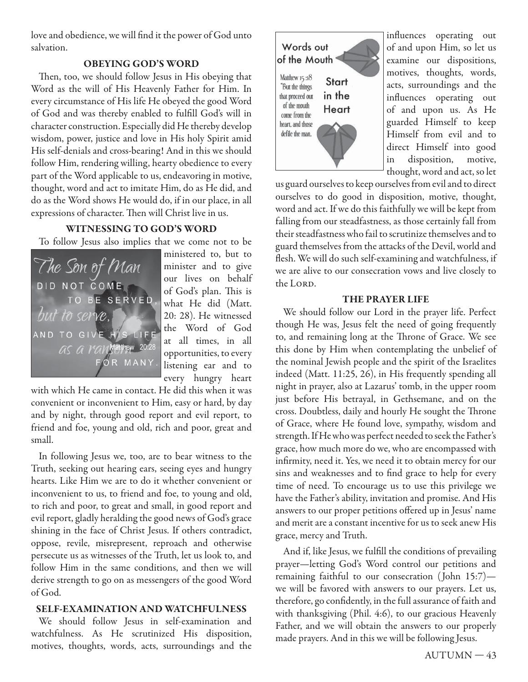love and obedience, we will find it the power of God unto salvation.

#### **OBEYING GOD'S WORD**

Then, too, we should follow Jesus in His obeying that Word as the will of His Heavenly Father for Him. In every circumstance of His life He obeyed the good Word of God and was thereby enabled to fulfill God's will in character construction. Especially did He thereby develop wisdom, power, justice and love in His holy Spirit amid His self-denials and cross-bearing! And in this we should follow Him, rendering willing, hearty obedience to every part of the Word applicable to us, endeavoring in motive, thought, word and act to imitate Him, do as He did, and do as the Word shows He would do, if in our place, in all expressions of character. Then will Christ live in us.

#### **WITNESSING TO GOD'S WORD**

To follow Jesus also implies that we come not to be



ministered to, but to minister and to give our lives on behalf of God's plan. This is what He did (Matt. 20: 28). He witnessed the Word of God at all times, in all opportunities, to every listening ear and to every hungry heart

with which He came in contact. He did this when it was convenient or inconvenient to Him, easy or hard, by day and by night, through good report and evil report, to friend and foe, young and old, rich and poor, great and small.

In following Jesus we, too, are to bear witness to the Truth, seeking out hearing ears, seeing eyes and hungry hearts. Like Him we are to do it whether convenient or inconvenient to us, to friend and foe, to young and old, to rich and poor, to great and small, in good report and evil report, gladly heralding the good news of God's grace shining in the face of Christ Jesus. If others contradict, oppose, revile, misrepresent, reproach and otherwise persecute us as witnesses of the Truth, let us look to, and follow Him in the same conditions, and then we will derive strength to go on as messengers of the good Word of God.

#### **SELF-EXAMINATION AND WATCHFULNESS**

We should follow Jesus in self-examination and watchfulness. As He scrutinized His disposition, motives, thoughts, words, acts, surroundings and the



influences operating out of and upon Him, so let us examine our dispositions, motives, thoughts, words, acts, surroundings and the influences operating out of and upon us. As He guarded Himself to keep Himself from evil and to direct Himself into good in disposition, motive, thought, word and act, so let

us guard ourselves to keep ourselves from evil and to direct ourselves to do good in disposition, motive, thought, word and act. If we do this faithfully we will be kept from falling from our steadfastness, as those certainly fall from their steadfastness who fail to scrutinize themselves and to guard themselves from the attacks of the Devil, world and flesh. We will do such self-examining and watchfulness, if we are alive to our consecration vows and live closely to the LORD.

#### **THE PRAYER LIFE**

We should follow our Lord in the prayer life. Perfect though He was, Jesus felt the need of going frequently to, and remaining long at the Throne of Grace. We see this done by Him when contemplating the unbelief of the nominal Jewish people and the spirit of the Israelites indeed (Matt. 11:25, 26), in His frequently spending all night in prayer, also at Lazarus' tomb, in the upper room just before His betrayal, in Gethsemane, and on the cross. Doubtless, daily and hourly He sought the Throne of Grace, where He found love, sympathy, wisdom and strength. If He who was perfect needed to seek the Father's grace, how much more do we, who are encompassed with infirmity, need it. Yes, we need it to obtain mercy for our sins and weaknesses and to find grace to help for every time of need. To encourage us to use this privilege we have the Father's ability, invitation and promise. And His answers to our proper petitions offered up in Jesus' name and merit are a constant incentive for us to seek anew His grace, mercy and Truth.

And if, like Jesus, we fulfill the conditions of prevailing prayer—letting God's Word control our petitions and remaining faithful to our consecration (John 15:7)we will be favored with answers to our prayers. Let us, therefore, go confidently, in the full assurance of faith and with thanksgiving (Phil. 4:6), to our gracious Heavenly Father, and we will obtain the answers to our properly made prayers. And in this we will be following Jesus.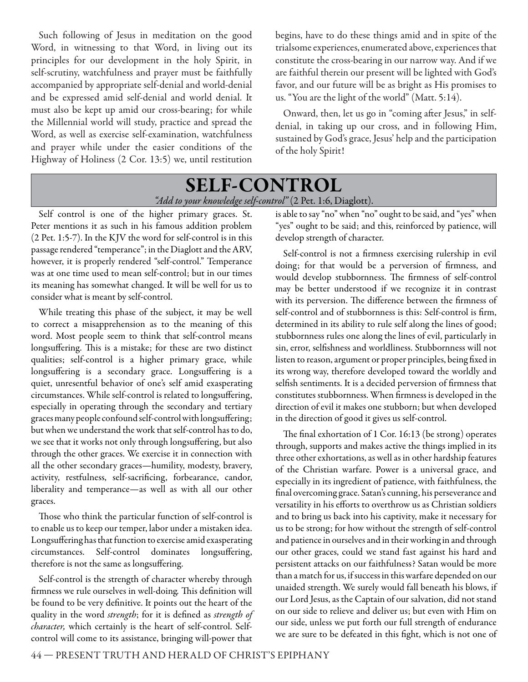Such following of Jesus in meditation on the good Word, in witnessing to that Word, in living out its principles for our development in the holy Spirit, in self-scrutiny, watchfulness and prayer must be faithfully accompanied by appropriate self-denial and world-denial and be expressed amid self-denial and world denial. It must also be kept up amid our cross-bearing; for while the Millennial world will study, practice and spread the Word, as well as exercise self-examination, watchfulness and prayer while under the easier conditions of the Highway of Holiness (2 Cor. 13:5) we, until restitution

begins, have to do these things amid and in spite of the trialsome experiences, enumerated above, experiences that constitute the cross-bearing in our narrow way. And if we are faithful therein our present will be lighted with God's favor, and our future will be as bright as His promises to us. "You are the light of the world" (Matt. 5:14).

Onward, then, let us go in "coming after Jesus," in selfdenial, in taking up our cross, and in following Him, sustained by God's grace, Jesus' help and the participation of the holy Spirit!

#### **SELF-CONTROL** "Add to your knowledge self-control" (2 Pet. 1:6, Diaglott).

Self control is one of the higher primary graces. St. Peter mentions it as such in his famous addition problem (2 Pet. 1:5-7). In the KJV the word for self-control is in this passage rendered "temperance"; in the Diaglott and the ARV, however, it is properly rendered "self-control." Temperance was at one time used to mean self-control; but in our times its meaning has somewhat changed. It will be well for us to consider what is meant by self-control.

While treating this phase of the subject, it may be well to correct a misapprehension as to the meaning of this word. Most people seem to think that self-control means longsuffering. This is a mistake; for these are two distinct qualities; self-control is a higher primary grace, while longsuffering is a secondary grace. Longsuffering is a quiet, unresentful behavior of one's self amid exasperating circumstances. While self-control is related to longsuffering, especially in operating through the secondary and tertiary graces many people confound self-control with longsuffering; but when we understand the work that self-control has to do, we see that it works not only through longsuffering, but also through the other graces. We exercise it in connection with all the other secondary graces—humility, modesty, bravery, activity, restfulness, self-sacrificing, forbearance, candor, liberality and temperance—as well as with all our other graces.

Those who think the particular function of self-control is to enable us to keep our temper, labor under a mistaken idea. Longsuffering has that function to exercise amid exasperating circumstances. Self-control dominates longsuffering, therefore is not the same as longsuffering.

Self-control is the strength of character whereby through firmness we rule ourselves in well-doing. This definition will be found to be very definitive. It points out the heart of the quality in the word strength; for it is defined as strength of character, which certainly is the heart of self-control. Selfcontrol will come to its assistance, bringing will-power that

is able to say "no" when "no" ought to be said, and "yes" when "yes" ought to be said; and this, reinforced by patience, will develop strength of character.

Self-control is not a firmness exercising rulership in evil doing; for that would be a perversion of firmness, and would develop stubbornness. The firmness of self-control may be better understood if we recognize it in contrast with its perversion. The difference between the firmness of self-control and of stubbornness is this: Self-control is firm, determined in its ability to rule self along the lines of good; stubbornness rules one along the lines of evil, particularly in sin, error, selfishness and worldliness. Stubbornness will not listen to reason, argument or proper principles, being fixed in its wrong way, therefore developed toward the worldly and selfish sentiments. It is a decided perversion of firmness that constitutes stubbornness. When firmness is developed in the direction of evil it makes one stubborn; but when developed in the direction of good it gives us self-control.

The final exhortation of  $1$  Cor. 16:13 (be strong) operates through, supports and makes active the things implied in its three other exhortations, as well as in other hardship features of the Christian warfare. Power is a universal grace, and especially in its ingredient of patience, with faithfulness, the final overcoming grace. Satan's cunning, his perseverance and versatility in his efforts to overthrow us as Christian soldiers and to bring us back into his captivity, make it necessary for us to be strong; for how without the strength of self-control and patience in ourselves and in their working in and through our other graces, could we stand fast against his hard and persistent attacks on our faithfulness? Satan would be more than a match for us, if success in this warfare depended on our unaided strength. We surely would fall beneath his blows, if our Lord Jesus, as the Captain of our salvation, did not stand on our side to relieve and deliver us; but even with Him on our side, unless we put forth our full strength of endurance we are sure to be defeated in this fight, which is not one of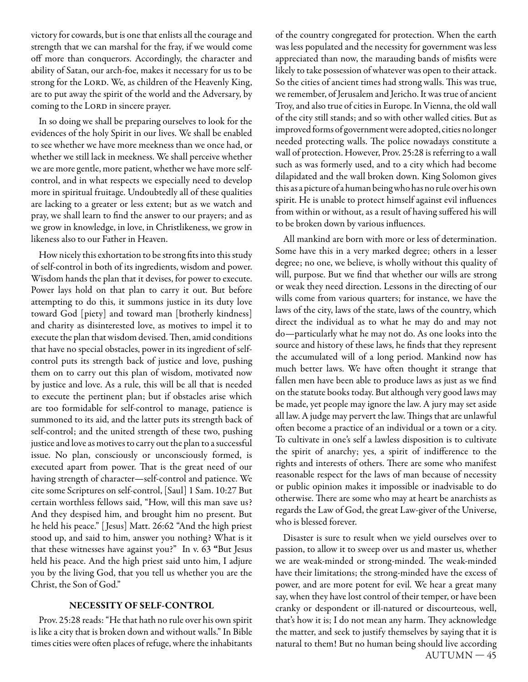victory for cowards, but is one that enlists all the courage and strength that we can marshal for the fray, if we would come off more than conquerors. Accordingly, the character and ability of Satan, our arch-foe, makes it necessary for us to be strong for the LORD. We, as children of the Heavenly King, are to put away the spirit of the world and the Adversary, by coming to the LORD in sincere prayer.

In so doing we shall be preparing ourselves to look for the evidences of the holy Spirit in our lives. We shall be enabled to see whether we have more meekness than we once had, or whether we still lack in meekness. We shall perceive whether we are more gentle, more patient, whether we have more selfcontrol, and in what respects we especially need to develop more in spiritual fruitage. Undoubtedly all of these qualities are lacking to a greater or less extent; but as we watch and pray, we shall learn to find the answer to our prayers; and as we grow in knowledge, in love, in Christlikeness, we grow in likeness also to our Father in Heaven.

How nicely this exhortation to be strong fits into this study of self-control in both of its ingredients, wisdom and power. Wisdom hands the plan that it devises, for power to execute. Power lays hold on that plan to carry it out. But before attempting to do this, it summons justice in its duty love toward God [piety] and toward man [brotherly kindness] and charity as disinterested love, as motives to impel it to execute the plan that wisdom devised. Then, amid conditions that have no special obstacles, power in its ingredient of selfcontrol puts its strength back of justice and love, pushing them on to carry out this plan of wisdom, motivated now by justice and love. As a rule, this will be all that is needed to execute the pertinent plan; but if obstacles arise which are too formidable for self-control to manage, patience is summoned to its aid, and the latter puts its strength back of self-control; and the united strength of these two, pushing justice and love as motives to carry out the plan to a successful issue. No plan, consciously or unconsciously formed, is executed apart from power. That is the great need of our having strength of character—self-control and patience. We cite some Scriptures on self-control, [Saul] 1 Sam. 10:27 But certain worthless fellows said, "How, will this man save us? And they despised him, and brought him no present. But he held his peace." [ Jesus] Matt. 26:62 "And the high priest stood up, and said to him, answer you nothing? What is it that these witnesses have against you?" In v. 63 **"**But Jesus held his peace. And the high priest said unto him, I adjure you by the living God, that you tell us whether you are the Christ, the Son of God."

#### **NECESSITY OF SELF-CONTROL**

Prov. 25:28 reads: "He that hath no rule over his own spirit is like a city that is broken down and without walls." In Bible times cities were often places of refuge, where the inhabitants

of the country congregated for protection. When the earth was less populated and the necessity for government was less appreciated than now, the marauding bands of misfits were likely to take possession of whatever was open to their attack. So the cities of ancient times had strong walls. This was true, we remember, of Jerusalem and Jericho. It was true of ancient Troy, and also true of cities in Europe. In Vienna, the old wall of the city still stands; and so with other walled cities. But as improved forms of government were adopted, cities no longer needed protecting walls. The police nowadays constitute a wall of protection. However, Prov. 25:28 is referring to a wall such as was formerly used, and to a city which had become dilapidated and the wall broken down. King Solomon gives this as a picture of a human being who has no rule over his own spirit. He is unable to protect himself against evil influences from within or without, as a result of having suffered his will to be broken down by various influences.

All mankind are born with more or less of determination. Some have this in a very marked degree; others in a lesser degree; no one, we believe, is wholly without this quality of will, purpose. But we find that whether our wills are strong or weak they need direction. Lessons in the directing of our wills come from various quarters; for instance, we have the laws of the city, laws of the state, laws of the country, which direct the individual as to what he may do and may not do—particularly what he may not do. As one looks into the source and history of these laws, he finds that they represent the accumulated will of a long period. Mankind now has much better laws. We have often thought it strange that fallen men have been able to produce laws as just as we find on the statute books today. But although very good laws may be made, yet people may ignore the law. A jury may set aside all law. A judge may pervert the law. Things that are unlawful often become a practice of an individual or a town or a city. To cultivate in one's self a lawless disposition is to cultivate the spirit of anarchy; yes, a spirit of indifference to the rights and interests of others. There are some who manifest reasonable respect for the laws of man because of necessity or public opinion makes it impossible or inadvisable to do otherwise. There are some who may at heart be anarchists as regards the Law of God, the great Law-giver of the Universe, who is blessed forever.

 $AUTUMN-45$ Disaster is sure to result when we yield ourselves over to passion, to allow it to sweep over us and master us, whether we are weak-minded or strong-minded. The weak-minded have their limitations; the strong-minded have the excess of power, and are more potent for evil. We hear a great many say, when they have lost control of their temper, or have been cranky or despondent or ill-natured or discourteous, well, that's how it is; I do not mean any harm. They acknowledge the matter, and seek to justify themselves by saying that it is natural to them! But no human being should live according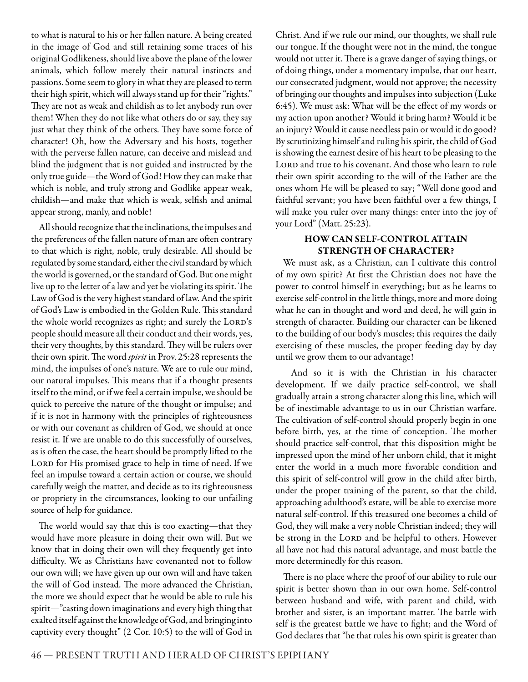to what is natural to his or her fallen nature. A being created in the image of God and still retaining some traces of his original Godlikeness, should live above the plane of the lower animals, which follow merely their natural instincts and passions. Some seem to glory in what they are pleased to term their high spirit, which will always stand up for their "rights." They are not as weak and childish as to let anybody run over them! When they do not like what others do or say, they say just what they think of the others. They have some force of character! Oh, how the Adversary and his hosts, together with the perverse fallen nature, can deceive and mislead and blind the judgment that is not guided and instructed by the only true guide—the Word of God! How they can make that which is noble, and truly strong and Godlike appear weak, childish—and make that which is weak, selfish and animal appear strong, manly, and noble!

All should recognize that the inclinations, the impulses and the preferences of the fallen nature of man are often contrary to that which is right, noble, truly desirable. All should be regulated by some standard, either the civil standard by which the world is governed, or the standard of God. But one might live up to the letter of a law and yet be violating its spirit. The Law of God is the very highest standard of law. And the spirit of God's Law is embodied in the Golden Rule. This standard the whole world recognizes as right; and surely the LORD's people should measure all their conduct and their words, yes, their very thoughts, by this standard. They will be rulers over their own spirit. The word spirit in Prov. 25:28 represents the mind, the impulses of one's nature. We are to rule our mind, our natural impulses. This means that if a thought presents itself to the mind, or if we feel a certain impulse, we should be quick to perceive the nature of the thought or impulse; and if it is not in harmony with the principles of righteousness or with our covenant as children of God, we should at once resist it. If we are unable to do this successfully of ourselves, as is often the case, the heart should be promptly lifted to the LORD for His promised grace to help in time of need. If we feel an impulse toward a certain action or course, we should carefully weigh the matter, and decide as to its righteousness or propriety in the circumstances, looking to our unfailing source of help for guidance.

The world would say that this is too exacting—that they would have more pleasure in doing their own will. But we know that in doing their own will they frequently get into difficulty. We as Christians have covenanted not to follow our own will; we have given up our own will and have taken the will of God instead. The more advanced the Christian, the more we should expect that he would be able to rule his spirit—"casting down imaginations and every high thing that exalted itself against the knowledge of God, and bringing into captivity every thought" (2 Cor. 10:5) to the will of God in

Christ. And if we rule our mind, our thoughts, we shall rule our tongue. If the thought were not in the mind, the tongue would not utter it. There is a grave danger of saying things, or of doing things, under a momentary impulse, that our heart, our consecrated judgment, would not approve; the necessity of bringing our thoughts and impulses into subjection (Luke 6:45). We must ask: What will be the effect of my words or my action upon another? Would it bring harm? Would it be an injury? Would it cause needless pain or would it do good? By scrutinizing himself and ruling his spirit, the child of God is showing the earnest desire of his heart to be pleasing to the LORD and true to his covenant. And those who learn to rule their own spirit according to the will of the Father are the ones whom He will be pleased to say; "Well done good and faithful servant; you have been faithful over a few things, I will make you ruler over many things: enter into the joy of your Lord" (Matt. 25:23).

#### **HOW CAN SELF-CONTROL ATTAIN STRENGTH OF CHARACTER?**

We must ask, as a Christian, can I cultivate this control of my own spirit? At first the Christian does not have the power to control himself in everything; but as he learns to exercise self-control in the little things, more and more doing what he can in thought and word and deed, he will gain in strength of character. Building our character can be likened to the building of our body's muscles; this requires the daily exercising of these muscles, the proper feeding day by day until we grow them to our advantage!

And so it is with the Christian in his character development. If we daily practice self-control, we shall gradually attain a strong character along this line, which will be of inestimable advantage to us in our Christian warfare. The cultivation of self-control should properly begin in one before birth, yes, at the time of conception. The mother should practice self-control, that this disposition might be impressed upon the mind of her unborn child, that it might enter the world in a much more favorable condition and this spirit of self-control will grow in the child after birth, under the proper training of the parent, so that the child, approaching adulthood's estate, will be able to exercise more natural self-control. If this treasured one becomes a child of God, they will make a very noble Christian indeed; they will be strong in the LORD and be helpful to others. However all have not had this natural advantage, and must battle the more determinedly for this reason.

There is no place where the proof of our ability to rule our spirit is better shown than in our own home. Self-control between husband and wife, with parent and child, with brother and sister, is an important matter. The battle with self is the greatest battle we have to fight; and the Word of God declares that "he that rules his own spirit is greater than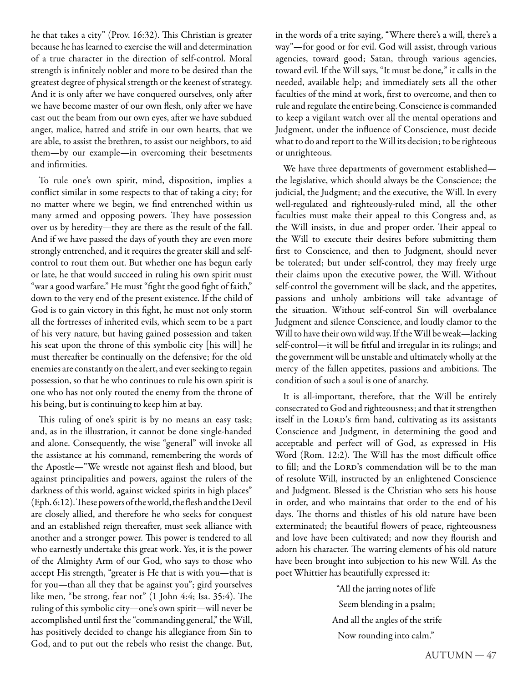he that takes a city" (Prov. 16:32). This Christian is greater because he has learned to exercise the will and determination of a true character in the direction of self-control. Moral strength is infinitely nobler and more to be desired than the greatest degree of physical strength or the keenest of strategy. And it is only after we have conquered ourselves, only after we have become master of our own flesh, only after we have cast out the beam from our own eyes, after we have subdued anger, malice, hatred and strife in our own hearts, that we are able, to assist the brethren, to assist our neighbors, to aid them—by our example—in overcoming their besetments and infirmities.

To rule one's own spirit, mind, disposition, implies a conflict similar in some respects to that of taking a city; for no matter where we begin, we find entrenched within us many armed and opposing powers. They have possession over us by heredity—they are there as the result of the fall. And if we have passed the days of youth they are even more strongly entrenched, and it requires the greater skill and selfcontrol to rout them out. But whether one has begun early or late, he that would succeed in ruling his own spirit must "war a good warfare." He must "fight the good fight of faith," down to the very end of the present existence. If the child of God is to gain victory in this fight, he must not only storm all the fortresses of inherited evils, which seem to be a part of his very nature, but having gained possession and taken his seat upon the throne of this symbolic city [his will] he must thereafter be continually on the defensive; for the old enemies are constantly on the alert, and ever seeking to regain possession, so that he who continues to rule his own spirit is one who has not only routed the enemy from the throne of his being, but is continuing to keep him at bay.

This ruling of one's spirit is by no means an easy task; and, as in the illustration, it cannot be done single-handed and alone. Consequently, the wise "general" will invoke all the assistance at his command, remembering the words of the Apostle—"We wrestle not against flesh and blood, but against principalities and powers, against the rulers of the darkness of this world, against wicked spirits in high places" (Eph. 6:12). These powers of the world, the flesh and the Devil are closely allied, and therefore he who seeks for conquest and an established reign thereafter, must seek alliance with another and a stronger power. This power is tendered to all who earnestly undertake this great work. Yes, it is the power of the Almighty Arm of our God, who says to those who accept His strength, "greater is He that is with you—that is for you—than all they that be against you"; gird yourselves like men, "be strong, fear not" (1 John 4:4; Isa. 35:4). The ruling of this symbolic city—one's own spirit—will never be accomplished until first the "commanding general," the Will, has positively decided to change his allegiance from Sin to God, and to put out the rebels who resist the change. But,

in the words of a trite saying, "Where there's a will, there's a way"—for good or for evil. God will assist, through various agencies, toward good; Satan, through various agencies, toward evil. If the Will says, "It must be done," it calls in the needed, available help; and immediately sets all the other faculties of the mind at work, first to overcome, and then to rule and regulate the entire being. Conscience is commanded to keep a vigilant watch over all the mental operations and Judgment, under the influence of Conscience, must decide what to do and report to the Will its decision; to be righteous or unrighteous.

We have three departments of government established the legislative, which should always be the Conscience; the judicial, the Judgment; and the executive, the Will. In every well-regulated and righteously-ruled mind, all the other faculties must make their appeal to this Congress and, as the Will insists, in due and proper order. Their appeal to the Will to execute their desires before submitting them first to Conscience, and then to Judgment, should never be tolerated; but under self-control, they may freely urge their claims upon the executive power, the Will. Without self-control the government will be slack, and the appetites, passions and unholy ambitions will take advantage of the situation. Without self-control Sin will overbalance Judgment and silence Conscience, and loudly clamor to the Will to have their own wild way. If the Will be weak—lacking self-control—it will be fitful and irregular in its rulings; and the government will be unstable and ultimately wholly at the mercy of the fallen appetites, passions and ambitions. The condition of such a soul is one of anarchy.

It is all-important, therefore, that the Will be entirely consecrated to God and righteousness; and that it strengthen itself in the LORD's firm hand, cultivating as its assistants Conscience and Judgment, in determining the good and acceptable and perfect will of God, as expressed in His Word (Rom. 12:2). The Will has the most difficult office to fill; and the LORD's commendation will be to the man of resolute Will, instructed by an enlightened Conscience and Judgment. Blessed is the Christian who sets his house in order, and who maintains that order to the end of his days. The thorns and thistles of his old nature have been exterminated; the beautiful flowers of peace, righteousness and love have been cultivated; and now they flourish and adorn his character. The warring elements of his old nature have been brought into subjection to his new Will. As the poet Whittier has beautifully expressed it:

> "All the jarring notes of life Seem blending in a psalm; And all the angles of the strife Now rounding into calm."